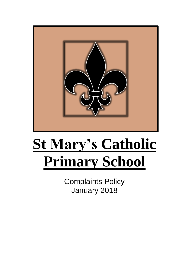

# **St Mary's Catholic Primary School**

Complaints Policy January 2018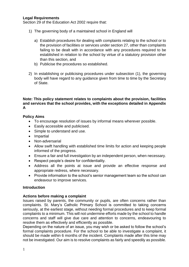#### **Legal Requirements**

Section 29 of the Education Act 2002 require that:

- 1) The governing body of a maintained school in England will
	- a) Establish procedures for dealing with complaints relating to the school or to the provision of facilities or services under section 27, other than complaints failing to be dealt with in accordance with any procedures required to be established in relation to the school by virtue of a statutory provision other than this section, and
	- b) Publicise the procedures so established.
- 2) In establishing or publicising procedures under subsection (1), the governing body will have regard to any guidance given from time to time by the Secretary of State.

#### **Note: This policy statement relates to complaints about the provision, facilities and services that the school provides, with the exceptions detailed in Appendix A**

#### **Policy Aims**

- To encourage resolution of issues by informal means wherever possible.
- Easily accessible and publicised.
- Simple to understand and use.
- Impartial
- Non-adversarial
- Allow swift handling with established time limits for action and keeping people informed of the progress.
- Ensure a fair and full investigation by an independent person, when necessary.
- Respect people's desire for confidentiality.
- Address all the points at issue and provide an effective response and appropriate redress, where necessary.
- Provide information to the school's senior management team so the school can endeavour to improve services.

#### **Introduction**

#### **Actions before making a complaint**

Issues raised by parents, the community or pupils, are often concerns rather than complaints. St. Mary's Catholic Primary School is committed to taking concerns seriously, at the earliest stage, without needing formal procedures and to keep formal complaints to a minimum. This will not undermine efforts made by the school to handle concerns and staff will give due care and attention to concerns, endeavouring to resolve them as effectively and efficiently as possible.

Depending on the nature of an issue, you may wish or be asked to follow the school's formal complaints procedure. For the school to be able to investigate a complaint, it should be made within 6 months of the incident. Complaints made after this time may not be investigated. Our aim is to resolve complaints as fairly and speedily as possible.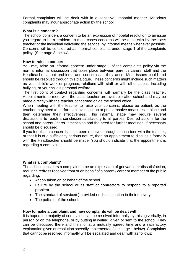Formal complaints will be dealt with in a sensitive, impartial manner. Malicious complaints may incur appropriate action by the school.

## **What is a concern?**

The school considers a concern to be an expression of hopeful resolution to an issue you regard to be a problem. In most cases concerns will be dealt with by the class teacher or the individual delivering the service, by informal means whenever possible. Concerns will be considered as informal complaints under stage 1 of the complaints policy, (See page 3, below)

## **How to raise a concern**

You may raise an informal concern under stage 1 of the complaints policy via the normal informal discussion that takes place between parent / carers, staff and the Headteacher about problems and concerns as they arise. Most issues could and should be resolved through this dialogue. These concerns might include such matters as your child's work or progress, relations with staff or with other pupils, including bullying, or your child's personal welfare.

The first point of contact regarding concerns will normally be the class teacher. Appointments to meet with the class teacher are available after school and may be made directly with the teacher concerned or via the school office.

When meeting with the teacher to raise your concerns, please be patient, as the teacher may need to perform an investigation or put corrective measures in place and then determine their effectiveness. This informal stage may require several discussions to reach a conclusion satisfactory to all parties. Desired actions for the school and parent / carer, timescales and the need for further meetings, if necessary should be discussed.

If you feel that a concern has not been resolved through discussions with the teacher, or that it is of a sufficiently serious nature, then an appointment to discuss it formally with the Headteacher should be made. You should indicate that the appointment is regarding a complaint.

# **What is a complaint?**

The school considers a complaint to be an expression of grievance or dissatisfaction, requiring redress received from or on behalf of a parent / carer or member of the public regarding:

- Action taken on or behalf of the school.
- Failure by the school or its staff or contractors to respond to a reported problem.
- The standard of service(s) provided or discrimination in their delivery.
- The policies of the school.

#### **How to make a complaint and how complaints will be dealt with**

It is hoped the majority of complaints can be resolved informally by raising verbally, in person or on the telephone, or by putting in writing, given or sent to the school. They can be discussed there and then, or at a mutually agreed time and a satisfactory explanation given or resolution speedily implemented (see stage 1 below). Complaints that cannot be resolved informally will be escalated and dealt with as follows: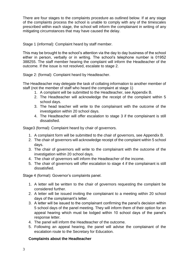There are four stages to the complaints procedure as outlined below. If at any stage of the complaints process the school is unable to comply with any of the timescales prescribed within each stage, the school will inform the complainant in writing of any mitigating circumstances that may have caused the delay.

Stage 1 (informal): Complaint heard by staff member.

This may be brought to the school's attention via the day to day business of the school either in person, verbally or in writing. The school's telephone number is 01952 388255. The staff member hearing the complaint will inform the Headteacher of the outcome. If the issue is not resolved, escalate to stage 2.

Stage 2: (formal): Complaint heard by Headteacher.

The Headteacher may delegate the task of collating information to another member of staff (not the member of staff who heard the complaint at stage 1)

- 1. A complaint will be submitted to the Headteacher, see Appendix B.
- 2. The Headteacher will acknowledge the receipt of the complaint within 5 school days.
- 3. The head teacher will write to the complainant with the outcome of the investigation within 20 school days.
- 4. The Headteacher will offer escalation to stage 3 if the complainant is still dissatisfied.

Stage3 (formal): Complaint heard by chair of governors.

- 1. A complaint form will be submitted to the chair of governors, see Appendix B.
- 2. The chair of governors will acknowledge receipt of the complaint within 5 school days.
- 3. The chair of governors will write to the complainant with the outcome of the investigation within 20 school days.
- 4. The chair of governors will inform the Headteacher of the income.
- 5. The chair of governors will offer escalation to stage 4 if the complainant is still dissatisfied.

Stage 4 (formal): Governor's complaints panel.

- 1. A letter will be written to the chair of governors requesting the complaint be considered further.
- 2. A letter will be issued inviting the complainant to a meeting within 20 school days of the complainant's letter.
- 3. A letter will be issued to the complainant confirming the panel's decision within 5 school days of the panel meeting. They will inform them of their option for an appeal hearing which must be lodged within 10 school days of the panel's response letter.
- 4. The panel will inform the Headteacher of the outcome.
- 5. Following an appeal hearing, the panel will advise the complainant of the escalation route to the Secretary for Education.

# **Complaints about the Headteacher**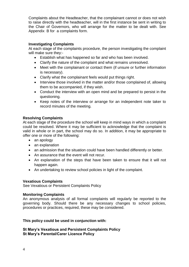Complaints about the Headteacher, that the complainant cannot or does not wish to raise directly with the headteacher, will in the first instance be sent in writing to the Chair of Governors, who will arrange for the matter to be dealt with. See Appendix B for a complaints form.

## **Investigating Complaints**

At each stage of the complaints procedure, the person investigating the complaint will make sure they:-

- Establish what has happened so far and who has been involved.
- Clarify the nature of the complaint and what remains unresolved.
- Meet with the complainant or contact them (if unsure or further information is necessary).
- Clarify what the complainant feels would put things right.
- Interview those involved in the matter and/or those complained of, allowing them to be accompanied, if they wish.
- Conduct the interview with an open mind and be prepared to persist in the questioning.
- Keep notes of the interview or arrange for an independent note taker to record minutes of the meeting.

## **Resolving Complaints**

At each stage of the procedure the school will keep in mind ways in which a complaint could be resolved. Where it may be sufficient to acknowledge that the complaint is valid in whole or in part, the school may do so. In addition, it may be appropriate to offer one or more of the following:

- an apology
- an explanation
- an admission that the situation could have been handled differently or better.
- An assurance that the event will not recur.
- An explanation of the steps that have been taken to ensure that it will not happen again.
- An undertaking to review school policies in light of the complaint.

#### **Vexatious Complaints**

See Vexatious or Persistent Complaints Policy

# **Monitoring Complaints**

An anonymous analysis of all formal complaints will regularly be reported to the governing body. Should there be any necessary changes to school policies, procedures or practices, required, these may be considered.

# **This policy could be used in conjunction with:**

**St Mary's Vexatious and Persistent Complaints Policy St Mary's Parental/Carer Licence Policy**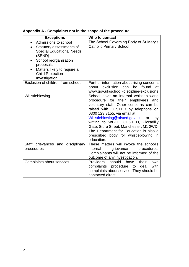| <b>Exceptions</b>                                                                                                                                                                                                                          | Who to contact                                                                                                                                                                                                                                                                                                                                                                                                                |
|--------------------------------------------------------------------------------------------------------------------------------------------------------------------------------------------------------------------------------------------|-------------------------------------------------------------------------------------------------------------------------------------------------------------------------------------------------------------------------------------------------------------------------------------------------------------------------------------------------------------------------------------------------------------------------------|
| Admissions to school<br>Statutory assessments of<br>$\bullet$<br><b>Special Educational Needs</b><br>(SEND)<br>School reorganisation<br>$\bullet$<br>proposals<br>Matters likely to require a<br><b>Child Protection</b><br>Investigation. | The School Governing Body of St Mary's<br><b>Catholic Primary School</b>                                                                                                                                                                                                                                                                                                                                                      |
| Exclusion of children from school.                                                                                                                                                                                                         | Further information about rising concerns<br>exclusion<br>can<br>be<br>about<br>found<br>at<br>www.gov.uk/school -discipline-exclusions                                                                                                                                                                                                                                                                                       |
| Whistleblowing                                                                                                                                                                                                                             | School have an internal whistleblowing<br>procedure for their employees<br>and<br>voluntary staff. Other concerns can be<br>raised with OFSTED by telephone on<br>0300 123 3155, via email at:<br>Whistleblowing@ofsted.gov.uk<br>by<br>or<br>writing to WBHL, OFSTED, Piccadilly<br>Gate, Store Street, Manchester, M1 2WD.<br>The Department for Education is also a<br>prescribed body for whistleblowing in<br>education. |
| Staff grievances and disciplinary<br>procedures                                                                                                                                                                                            | These matters will invoke the school's<br>internal<br>grievance<br>procedures.<br>Complainants will not be informed of the<br>outcome of any investigation.                                                                                                                                                                                                                                                                   |
| Complaints about services                                                                                                                                                                                                                  | <b>Providers</b><br>should<br>have<br>their<br>own<br>complaints procedure to<br>with<br>deal<br>complaints about service. They should be<br>contacted direct.                                                                                                                                                                                                                                                                |

**Appendix A - Complaints not in the scope of the procedure**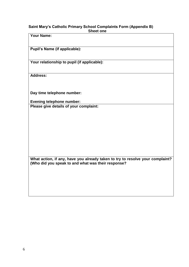#### **Saint Mary's Catholic Primary School Complaints Form (Appendix B) Sheet one**

**Your Name:**

**Pupil's Name (if applicable):**

**Your relationship to pupil (if applicable):**

**Address:**

**Day time telephone number:**

**Evening telephone number: Please give details of your complaint:**

**What action, if any, have you already taken to try to resolve your complaint? (Who did you speak to and what was their response?**